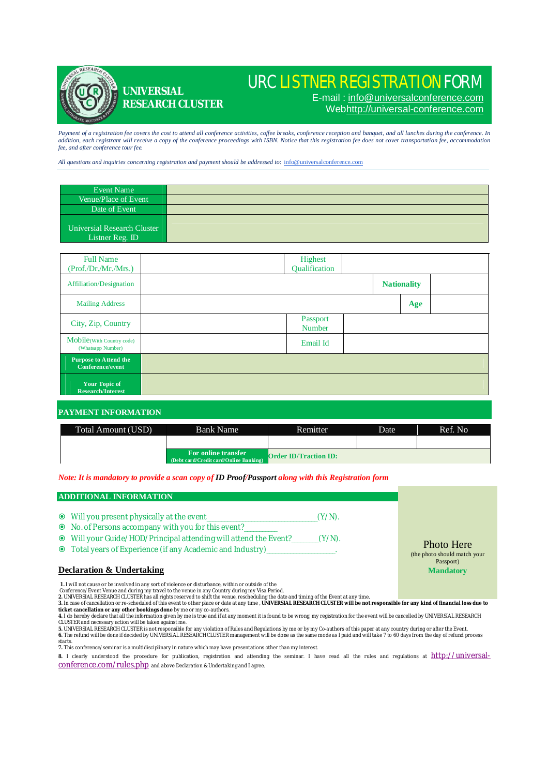

**UNIVERSIAL** 

**RESEARCH CLUSTER**

# URC LISTNER REGISTRATION FORM

E-mail : [info@universalconference.com](mailto:info@universalconference.com) Web<http://universal-conference.com>

Payment of a registration fee covers the cost to attend all conference activities, coffee breaks, conference reception and banquet, and all lunches during the conference. In<br>addition, each registrant will receive a copy of *fee, and after conference tour fee.*

*All questions and inquiries concerning registration and payment should be addressed to*: [info@universalconference.com](mailto:info@universalconference.com)

| Event Name                                     |  |
|------------------------------------------------|--|
| Venue/Place of Event                           |  |
| Date of Event                                  |  |
| Universial Research Cluster<br>Listner Reg. ID |  |

| <b>Full Name</b><br>(Prof./Dr./Mr./Mrs.)         | Highest<br>Qualification  |                    |  |
|--------------------------------------------------|---------------------------|--------------------|--|
| Affiliation/Designation                          |                           | <b>Nationality</b> |  |
| <b>Mailing Address</b>                           |                           | Age                |  |
| City, Zip, Country                               | Passport<br><b>Number</b> |                    |  |
| Mobile(With Country code)<br>(Whatsapp Number)   | Email Id                  |                    |  |
| <b>Purpose to Attend the</b><br>Conference/event |                           |                    |  |
| Your Topic of<br><b>Research/Interest</b>        |                           |                    |  |

### **PAYMENT INFORMATION**

| Total Amount (USD) | Bank Name                                                     | Remitter.                    | Date | Ref. No |
|--------------------|---------------------------------------------------------------|------------------------------|------|---------|
|                    |                                                               |                              |      |         |
|                    | For online transfer<br>(Debt card/Credit card/Online Banking) | <b>Order ID/Traction ID:</b> |      |         |

*Note: It is mandatory to provide a scan copy of ID Proof/Passport along with this Registration form*

# **ADDITIONAL INFORMATION**

- Will you present physically at the event\_\_\_\_\_\_\_\_\_\_\_\_\_\_\_\_\_\_\_\_\_\_\_\_\_\_\_\_\_\_\_\_\_\_\_\_\_(Y/N).
- No. of Persons accompany with you for this event?\_\_\_\_\_\_\_\_\_\_\_
- Will your Guide/HOD/Principal attending will attend the Event?\_\_\_\_\_\_\_\_\_(Y/N).
- Total years of Experience (if any Academic and Industry)\_\_\_\_\_\_\_\_\_\_\_\_\_\_\_\_\_\_\_\_\_\_\_.

## **Declaration & Undertaking**

**1.** I will not cause or be involved in any sort of violence or disturbance, within or outside of the

Conference/Event Venue and during my travel to the venue in any Country during my Visa Period.<br>2. UNIVERSIAL RESEARCH CLUSTER has all rights reserved to shift the venue, rescheduling the add timing of the Event at any time

**ticket cancellation or any other bookings done** by me or my co-authors.<br>4. I do hereby declare that all the information given by me is true and if at any moment it is found to be wrong, my registration for the event will

CLUSTER and necessary action will be taken against me.<br>5. UNIVERSIAL RESEARCH CLUSTER is not responsible for any violation of Rules and Regulations by me or by my Co-authors of this paper at any country during or after the

**7.** This conference/seminar is a multidisciplinary in nature which may have presentations other than my interest.

**8.** I clearly understood the procedure for publication, registration and attending the seminar. I have read all the rules and regulations at [http://universal](http://universal-)conference.com/rules.php and above Declaration & Undertaking and I agree*.*

Photo Here (the photo should match your Passport) **Mandatory**